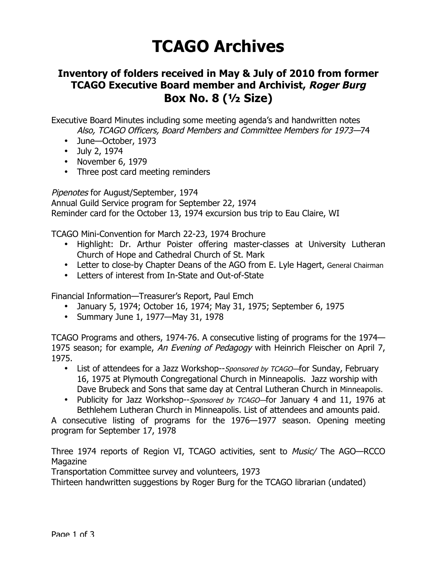## **TCAGO Archives**

## **Inventory of folders received in May & July of 2010 from former TCAGO Executive Board member and Archivist, Roger Burg Box No. 8 (½ Size)**

Executive Board Minutes including some meeting agenda's and handwritten notes Also, TCAGO Officers, Board Members and Committee Members for 1973—74

- June—October, 1973
- July 2, 1974
- November 6, 1979
- Three post card meeting reminders

Pipenotes for August/September, 1974

Annual Guild Service program for September 22, 1974 Reminder card for the October 13, 1974 excursion bus trip to Eau Claire, WI

TCAGO Mini-Convention for March 22-23, 1974 Brochure

- Highlight: Dr. Arthur Poister offering master-classes at University Lutheran Church of Hope and Cathedral Church of St. Mark
- Letter to close-by Chapter Deans of the AGO from E. Lyle Hagert, General Chairman
- Letters of interest from In-State and Out-of-State

Financial Information—Treasurer's Report, Paul Emch

- January 5, 1974; October 16, 1974; May 31, 1975; September 6, 1975
- Summary June 1, 1977—May 31, 1978

TCAGO Programs and others, 1974-76. A consecutive listing of programs for the 1974— 1975 season; for example, An Evening of Pedagogy with Heinrich Fleischer on April 7, 1975.

- List of attendees for a Jazz Workshop--Sponsored by TCAGO-for Sunday, February 16, 1975 at Plymouth Congregational Church in Minneapolis. Jazz worship with Dave Brubeck and Sons that same day at Central Lutheran Church in Minneapolis.
- Publicity for Jazz Workshop--Sponsored by TCAGO-for January 4 and 11, 1976 at Bethlehem Lutheran Church in Minneapolis. List of attendees and amounts paid.

A consecutive listing of programs for the 1976—1977 season. Opening meeting program for September 17, 1978

Three 1974 reports of Region VI, TCAGO activities, sent to Music/ The AGO—RCCO Magazine

Transportation Committee survey and volunteers, 1973

Thirteen handwritten suggestions by Roger Burg for the TCAGO librarian (undated)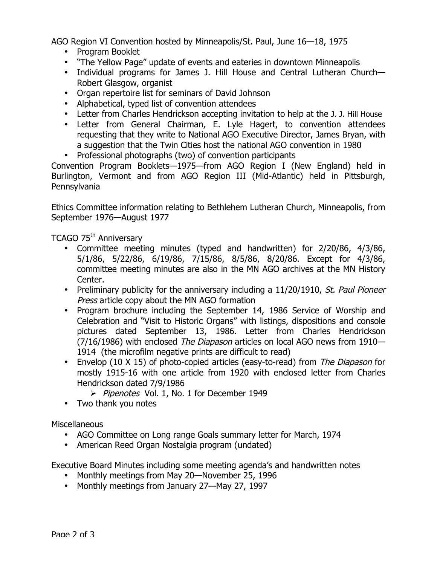AGO Region VI Convention hosted by Minneapolis/St. Paul, June 16—18, 1975

- Program Booklet
- "The Yellow Page" update of events and eateries in downtown Minneapolis
- Individual programs for James J. Hill House and Central Lutheran Church— Robert Glasgow, organist
- Organ repertoire list for seminars of David Johnson
- Alphabetical, typed list of convention attendees
- Letter from Charles Hendrickson accepting invitation to help at the J. J. Hill House
- Letter from General Chairman, E. Lyle Hagert, to convention attendees requesting that they write to National AGO Executive Director, James Bryan, with a suggestion that the Twin Cities host the national AGO convention in 1980
- Professional photographs (two) of convention participants

Convention Program Booklets—1975—from AGO Region I (New England) held in Burlington, Vermont and from AGO Region III (Mid-Atlantic) held in Pittsburgh, Pennsylvania

Ethics Committee information relating to Bethlehem Lutheran Church, Minneapolis, from September 1976—August 1977

## TCAGO 75<sup>th</sup> Anniversary

- Committee meeting minutes (typed and handwritten) for 2/20/86, 4/3/86, 5/1/86, 5/22/86, 6/19/86, 7/15/86, 8/5/86, 8/20/86. Except for 4/3/86, committee meeting minutes are also in the MN AGO archives at the MN History Center.
- Preliminary publicity for the anniversary including a 11/20/1910, St. Paul Pioneer Press article copy about the MN AGO formation
- Program brochure including the September 14, 1986 Service of Worship and Celebration and "Visit to Historic Organs" with listings, dispositions and console pictures dated September 13, 1986. Letter from Charles Hendrickson (7/16/1986) with enclosed The Diapason articles on local AGO news from 1910— 1914 (the microfilm negative prints are difficult to read)
- Envelop (10 X 15) of photo-copied articles (easy-to-read) from The Diapason for mostly 1915-16 with one article from 1920 with enclosed letter from Charles Hendrickson dated 7/9/1986
	- Pipenotes Vol. 1, No. 1 for December 1949
- Two thank you notes

**Miscellaneous** 

- AGO Committee on Long range Goals summary letter for March, 1974
- American Reed Organ Nostalgia program (undated)

Executive Board Minutes including some meeting agenda's and handwritten notes

- Monthly meetings from May 20—November 25, 1996
- Monthly meetings from January 27—May 27, 1997